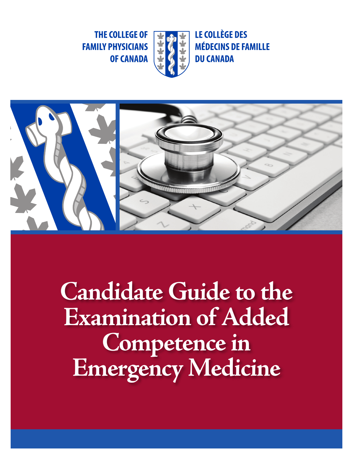**THE COLLEGE OF FAMILY PHYSICIANS OF CANADA** 



**LE COLLÈGE DES MÉDECINS DE FAMILLE DU CANADA** 



**Candidate Guide to the Examination of Added Competence in Emergency Medicine**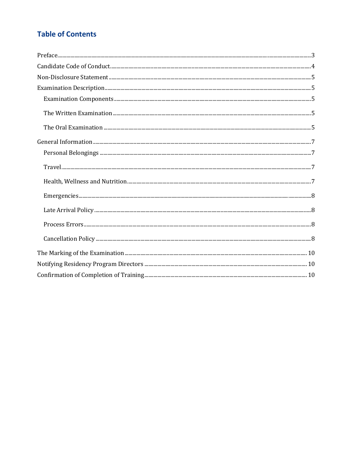# **Table of Contents**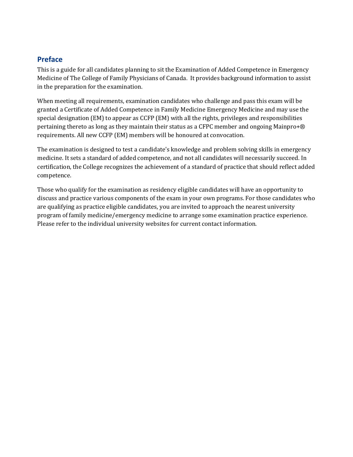## <span id="page-2-0"></span>**Preface**

This is a guide for all candidates planning to sit the Examination of Added Competence in Emergency Medicine of The College of Family Physicians of Canada. It provides background information to assist in the preparation for the examination.

When meeting all requirements, examination candidates who challenge and pass this exam will be granted a Certificate of Added Competence in Family Medicine Emergency Medicine and may use the special designation (EM) to appear as CCFP (EM) with all the rights, privileges and responsibilities pertaining thereto as long as they maintain their status as a CFPC member and ongoing Mainpro+® requirements. All new CCFP (EM) members will be honoured at convocation.

The examination is designed to test a candidate's knowledge and problem solving skills in emergency medicine. It sets a standard of added competence, and not all candidates will necessarily succeed. In certification, the College recognizes the achievement of a standard of practice that should reflect added competence.

Those who qualify for the examination as residency eligible candidates will have an opportunity to discuss and practice various components of the exam in your own programs. For those candidates who are qualifying as practice eligible candidates, you are invited to approach the nearest university program of family medicine/emergency medicine to arrange some examination practice experience. Please refer to the individual university websites for current contact information.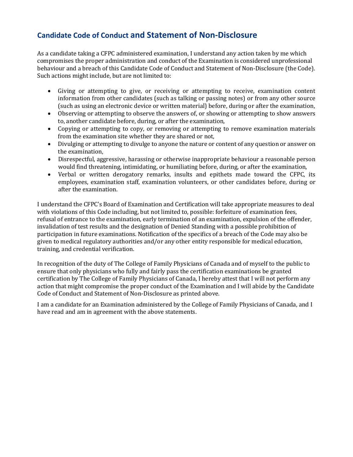# <span id="page-3-0"></span>**Candidate Code of Conduct and Statement of Non-Disclosure**

As a candidate taking a CFPC administered examination, I understand any action taken by me which compromises the proper administration and conduct of the Examination is considered unprofessional behaviour and a breach of this Candidate Code of Conduct and Statement of Non-Disclosure (the Code). Such actions might include, but are not limited to:

- Giving or attempting to give, or receiving or attempting to receive, examination content information from other candidates (such as talking or passing notes) or from any other source (such as using an electronic device or written material) before, during or after the examination,
- Observing or attempting to observe the answers of, or showing or attempting to show answers to, another candidate before, during, or after the examination,
- Copying or attempting to copy, or removing or attempting to remove examination materials from the examination site whether they are shared or not,
- Divulging or attempting to divulge to anyone the nature or content of any question or answer on the examination,
- Disrespectful, aggressive, harassing or otherwise inappropriate behaviour a reasonable person would find threatening, intimidating, or humiliating before, during, or after the examination,
- Verbal or written derogatory remarks, insults and epithets made toward the CFPC, its employees, examination staff, examination volunteers, or other candidates before, during or after the examination.

I understand the CFPC's Board of Examination and Certification will take appropriate measures to deal with violations of this Code including, but not limited to, possible: forfeiture of examination fees, refusal of entrance to the examination, early termination of an examination, expulsion of the offender, invalidation of test results and the designation of Denied Standing with a possible prohibition of participation in future examinations. Notification of the specifics of a breach of the Code may also be given to medical regulatory authorities and/or any other entity responsible for medical education, training, and credential verification.

In recognition of the duty of The College of Family Physicians of Canada and of myself to the public to ensure that only physicians who fully and fairly pass the certification examinations be granted certification by The College of Family Physicians of Canada, I hereby attest that I will not perform any action that might compromise the proper conduct of the Examination and I will abide by the Candidate Code of Conduct and Statement of Non-Disclosure as printed above.

I am a candidate for an Examination administered by the College of Family Physicians of Canada, and I have read and am in agreement with the above statements.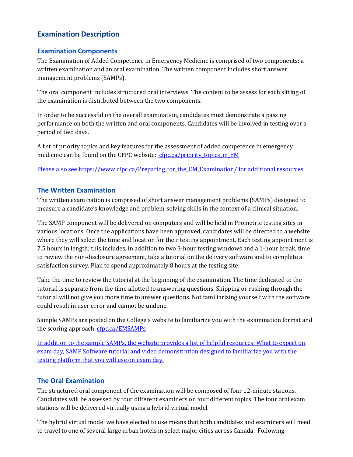## <span id="page-4-1"></span><span id="page-4-0"></span>**Examination Description**

### <span id="page-4-2"></span>**Examination Components**

The Examination of Added Competence in Emergency Medicine is comprised of two components: a written examination and an oral examination. The written component includes short answer management problems (SAMPs).

The oral component includes structured oral interviews. The content to be assess for each sitting of the examination is distributed between the two components.

In order to be successful on the overall examination, candidates must demonstrate a passing performance on both the written and oral components. Candidates will be involved in testing over a period of two days.

A list of priority topics and key features for the assessment of added competence in emergency medicine can be found on the CFPC website: cfpc.ca/priority topics in EM

Please also se[e https://www.cfpc.ca/Preparing\\_for\\_the\\_EM\\_Examination/](https://www.cfpc.ca/Preparing_for_the_EM_Examination/) for additional resources

### <span id="page-4-3"></span>**The Written Examination**

The written examination is comprised of short answer management problems (SAMPs) designed to measure a candidate's knowledge and problem-solving skills in the context of a clinical situation.

The SAMP component will be delivered on computers and will be held in Prometric testing sites in various locations. Once the applications have been approved, candidates will be directed to a website where they will select the time and location for their testing appointment. Each testing appointment is 7.5 hours in length; this includes, in addition to two 3-hour testing windows and a 1-hour break, time to review the non-disclosure agreement, take a tutorial on the delivery software and to complete a satisfaction survey. Plan to spend approximately 8 hours at the testing site.

Take the time to review the tutorial at the beginning of the examination. The time dedicated to the tutorial is separate from the time allotted to answering questions. Skipping or rushing through the tutorial will not give you more time to answer questions. Not familiarizing yourself with the software could result in user error and cannot be undone.

Sample SAMPs are posted on the College's website to familiarize you with the examination format and the scoring approach[. cfpc.ca/EMSAMPs](http://www.cfpc.ca/EMSAMPs/)

In addition to the sample SAMPs, the website provides a list of helpful resources: What to expect on exam day, SAMP Software tutorial and video demonstration designed to familiarize you with the testing platform that you will use on exam day.

### <span id="page-4-4"></span>**The Oral Examination**

The structured oral component of the examination will be composed of four 12-minute stations. Candidates will be assessed by four different examiners on four different topics. The four oral exam stations will be delivered virtually using a hybrid virtual model.

The hybrid virtual model we have elected to use means that both candidates and examiners will need to travel to one of several large urban hotels in select major cities across Canada. Following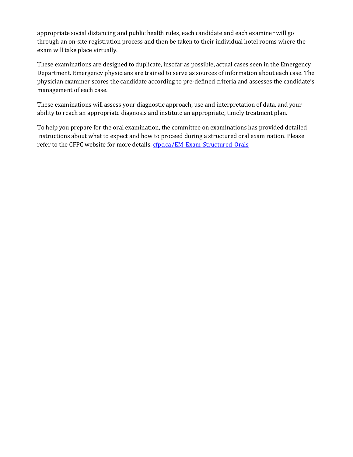appropriate social distancing and public health rules, each candidate and each examiner will go through an on-site registration process and then be taken to their individual hotel rooms where the exam will take place virtually.

These examinations are designed to duplicate, insofar as possible, actual cases seen in the Emergency Department. Emergency physicians are trained to serve as sources of information about each case. The physician examiner scores the candidate according to pre-defined criteria and assesses the candidate's management of each case.

These examinations will assess your diagnostic approach, use and interpretation of data, and your ability to reach an appropriate diagnosis and institute an appropriate, timely treatment plan.

To help you prepare for the oral examination, the committee on examinations has provided detailed instructions about what to expect and how to proceed during a structured oral examination. Please refer to the CFPC website for more details. [cfpc.ca/EM\\_Exam\\_Structured\\_Orals](http://www.cfpc.ca/EM_Exam_Structured_Orals/)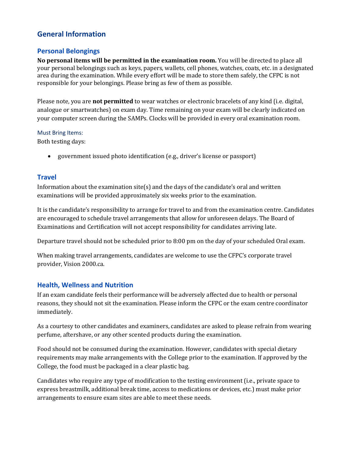## <span id="page-6-0"></span>**General Information**

#### <span id="page-6-1"></span>**Personal Belongings**

**No personal items will be permitted in the examination room.** You will be directed to place all your personal belongings such as keys, papers, wallets, cell phones, watches, coats, etc. in a designated area during the examination. While every effort will be made to store them safely, the CFPC is not responsible for your belongings. Please bring as few of them as possible.

Please note, you are **not permitted** to wear watches or electronic bracelets of any kind (i.e. digital, analogue or smartwatches) on exam day. Time remaining on your exam will be clearly indicated on your computer screen during the SAMPs. Clocks will be provided in every oral examination room.

#### Must Bring Items:

Both testing days:

• government issued photo identification (e.g., driver's license or passport)

#### <span id="page-6-2"></span>**Travel**

Information about the examination  $site(s)$  and the days of the candidate's oral and written examinations will be provided approximately six weeks prior to the examination.

It is the candidate's responsibility to arrange for travel to and from the examination centre. Candidates are encouraged to schedule travel arrangements that allow for unforeseen delays. The Board of Examinations and Certification will not accept responsibility for candidates arriving late.

Departure travel should not be scheduled prior to 8:00 pm on the day of your scheduled Oral exam.

When making travel arrangements, candidates are welcome to use the CFPC's corporate travel provider, Vision 2000.ca.

#### <span id="page-6-3"></span>**Health, Wellness and Nutrition**

If an exam candidate feels their performance will be adversely affected due to health or personal reasons, they should not sit the examination. Please inform the CFPC or the exam centre coordinator immediately.

As a courtesy to other candidates and examiners, candidates are asked to please refrain from wearing perfume, aftershave, or any other scented products during the examination.

Food should not be consumed during the examination. However, candidates with special dietary requirements may make arrangements with the College prior to the examination. If approved by the College, the food must be packaged in a clear plastic bag.

Candidates who require any type of modification to the testing environment (i.e., private space to express breastmilk, additional break time, access to medications or devices, etc.) must make prior arrangements to ensure exam sites are able to meet these needs.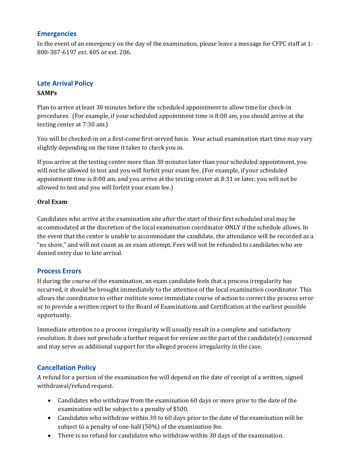#### <span id="page-7-0"></span>**Emergencies**

In the event of an emergency on the day of the examination, please leave a message for CFPC staff at 1- 800-387-6197 ext. 405 or ext. 206.

### <span id="page-7-1"></span>**Late Arrival Policy SAMPs**

Plan to arrive at least 30 minutes before the scheduled appointment to allow time for check-in procedures. (For example, if your scheduled appointment time is 8:00 am, you should arrive at the testing center at 7:30 am.)

You will be checked-in on a first-come first-served basis. Your actual examination start time may vary slightly depending on the time it takes to check you in.

If you arrive at the testing center more than 30 minutes later than your scheduled appointment, you will not be allowed to test and you will forfeit your exam fee. (For example, if your scheduled appointment time is 8:00 am, and you arrive at the testing center at 8:31 or later, you will not be allowed to test and you will forfeit your exam fee.)

#### **Oral Exam**

Candidates who arrive at the examination site after the start of their first scheduled oral may be accommodated at the discretion of the local examination coordinator ONLY if the schedule allows. In the event that the center is unable to accommodate the candidate, the attendance will be recorded as a "no show," and will not count as an exam attempt. Fees will not be refunded to candidates who are denied entry due to late arrival.

### <span id="page-7-2"></span>**Process Errors**

If during the course of the examination, an exam candidate feels that a process irregularity has occurred, it should be brought immediately to the attention of the local examination coordinator. This allows the coordinator to either institute some immediate course of action to correct the process error or to provide a written report to the Board of Examinations and Certification at the earliest possible opportunity.

Immediate attention to a process irregularity will usually result in a complete and satisfactory resolution. It does not preclude a further request for review on the part of the candidate(s) concerned and may serve as additional support for the alleged process irregularity in the case.

## <span id="page-7-3"></span>**Cancellation Policy**

A refund for a portion of the examination fee will depend on the date of receipt of a written, signed withdrawal/refund request.

- Candidates who withdraw from the examination 60 days or more prior to the date of the examination will be subject to a penalty of \$500.
- Candidates who withdraw within 30 to 60 days prior to the date of the examination will be subject to a penalty of one-half (50%) of the examination fee.
- There is no refund for candidates who withdraw within 30 days of the examination.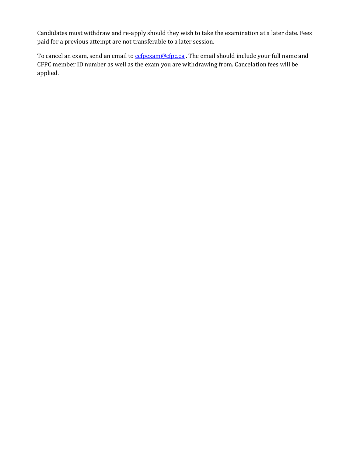Candidates must withdraw and re-apply should they wish to take the examination at a later date. Fees paid for a previous attempt are not transferable to a later session.

To cancel an exam, send an email to corpexam@cfpc.ca. The email should include your full name and CFPC member ID number as well as the exam you are withdrawing from. Cancelation fees will be applied.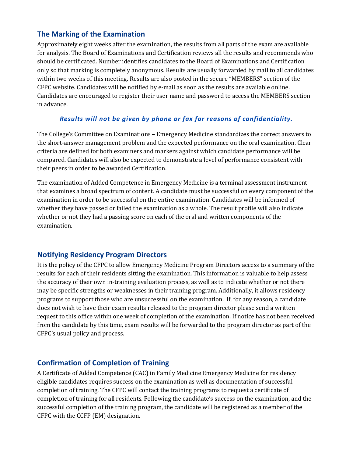## <span id="page-9-0"></span>**The Marking of the Examination**

Approximately eight weeks after the examination, the results from all parts of the exam are available for analysis. The Board of Examinations and Certification reviews all the results and recommends who should be certificated. Number identifies candidates to the Board of Examinations and Certification only so that marking is completely anonymous. Results are usually forwarded by mail to all candidates within two weeks of this meeting. Results are also posted in the secure "MEMBERS" section of the CFPC website. Candidates will be notified by e-mail as soon as the results are available online. Candidates are encouraged to register their user name and password to access the MEMBERS section in advance.

## *Results will not be given by phone or fax for reasons of confidentiality.*

The College's Committee on Examinations – Emergency Medicine standardizes the correct answers to the short-answer management problem and the expected performance on the oral examination. Clear criteria are defined for both examiners and markers against which candidate performance will be compared. Candidates will also be expected to demonstrate a level of performance consistent with their peers in order to be awarded Certification.

The examination of Added Competence in Emergency Medicine is a terminal assessment instrument that examines a broad spectrum of content. A candidate must be successful on every component of the examination in order to be successful on the entire examination. Candidates will be informed of whether they have passed or failed the examination as a whole. The result profile will also indicate whether or not they had a passing score on each of the oral and written components of the examination.

## <span id="page-9-1"></span>**Notifying Residency Program Directors**

It is the policy of the CFPC to allow Emergency Medicine Program Directors access to a summary of the results for each of their residents sitting the examination. This information is valuable to help assess the accuracy of their own in-training evaluation process, as well as to indicate whether or not there may be specific strengths or weaknesses in their training program. Additionally, it allows residency programs to support those who are unsuccessful on the examination. If, for any reason, a candidate does not wish to have their exam results released to the program director please send a written request to this office within one week of completion of the examination. If notice has not been received from the candidate by this time, exam results will be forwarded to the program director as part of the CFPC's usual policy and process.

## <span id="page-9-2"></span>**Confirmation of Completion of Training**

A Certificate of Added Competence (CAC) in Family Medicine Emergency Medicine for residency eligible candidates requires success on the examination as well as documentation of successful completion of training. The CFPC will contact the training programs to request a certificate of completion of training for all residents. Following the candidate's success on the examination, and the successful completion of the training program, the candidate will be registered as a member of the CFPC with the CCFP (EM) designation.